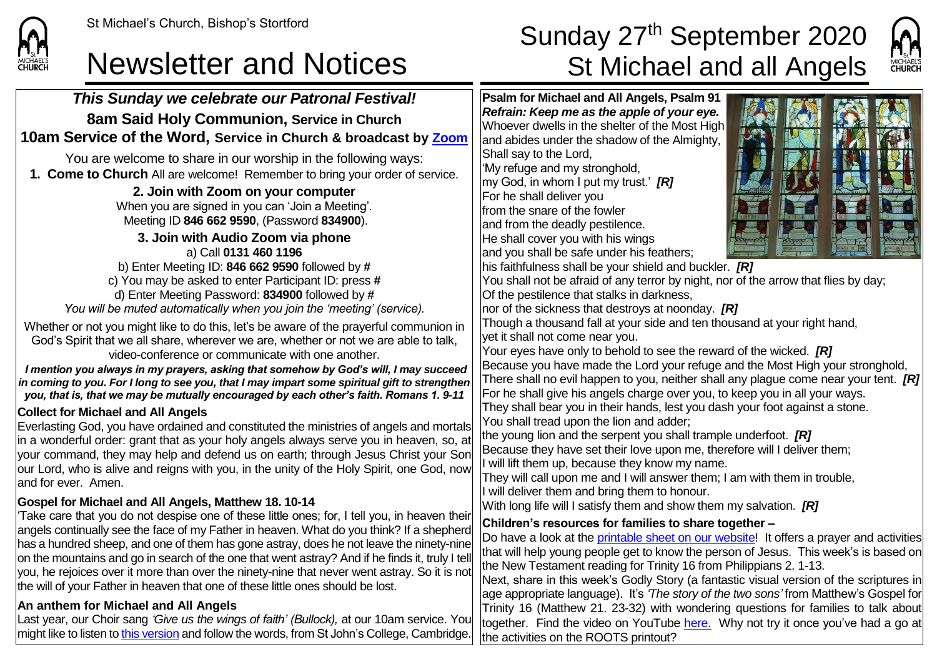

## St Michael's Church, Bishop's Stortford  $\textsf{Sunday 27}^{\textsf{th}}\ \textsf{September}\ 2020$ Newsletter and Notices St Michael and all Angels



*This Sunday we celebrate our Patronal Festival!* **8am Said Holy Communion, Service in Church 10am Service of the Word, Service in Church & broadcast by [Zoom](https://zoom.us/)** You are welcome to share in our worship in the following ways: **1. Come to Church** All are welcome! Remember to bring your order of service. **2. Join with Zoom on your computer** When you are signed in you can 'Join a Meeting'. Meeting ID **846 662 9590**, (Password **834900**). **3. Join with Audio Zoom via phone** a) Call **0131 460 1196** b) Enter Meeting ID: **846 662 9590** followed by **#** c) You may be asked to enter Participant ID: press **#** d) Enter Meeting Password: **834900** followed by **#** *You will be muted automatically when you join the 'meeting' (service).* Whether or not you might like to do this, let's be aware of the prayerful communion in God's Spirit that we all share, wherever we are, whether or not we are able to talk, video-conference or communicate with one another. *I mention you always in my prayers, asking that somehow by God's will, I may succeed in coming to you. For I long to see you, that I may impart some spiritual gift to strengthen you, that is, that we may be mutually encouraged by each other's faith. Romans 1. 9-11* **Collect for Michael and All Angels** Everlasting God, you have ordained and constituted the ministries of angels and mortals in a wonderful order: grant that as your holy angels always serve you in heaven, so, at your command, they may help and defend us on earth; through Jesus Christ your Son our Lord, who is alive and reigns with you, in the unity of the Holy Spirit, one God, now and for ever. Amen. **Gospel for Michael and All Angels, Matthew 18. 10-14** 'Take care that you do not despise one of these little ones; for, I tell you, in heaven their angels continually see the face of my Father in heaven. What do you think? If a shepherd has a hundred sheep, and one of them has gone astray, does he not leave the ninety-nine on the mountains and go in search of the one that went astray? And if he finds it, truly I tell you, he rejoices over it more than over the ninety-nine that never went astray. So it is not the will of your Father in heaven that one of these little ones should be lost. **An anthem for Michael and All Angels** Last year, our Choir sang *'Give us the wings of faith' (Bullock),* at our 10am service. You might like to listen t[o this version](https://www.sjcchoir.co.uk/listen/sjc-live/bullock-e-give-us-wings-faith) and follow the words, from St John's College, Cambridge. **Psalm for Michael and All Angels, Psalm 91** *Refrain: Keep me as the apple of your eye.* Whoever dwells in the shelter of the Most High and abides under the shadow of the Almighty, Shall say to the Lord, 'My refuge and my stronghold, my God, in whom I put my trust.' *[R]* For he shall deliver you from the snare of the fowler and from the deadly pestilence. He shall cover you with his wings and you shall be safe under his feathers: his faithfulness shall be your shield and buckler. *[R]* You shall not be afraid of any terror by night, nor of the arrow that flies by day; Of the pestilence that stalks in darkness, nor of the sickness that destroys at noonday. *[R]* Though a thousand fall at your side and ten thousand at your right hand, yet it shall not come near you. Your eyes have only to behold to see the reward of the wicked. *[R]* Because you have made the Lord your refuge and the Most High your stronghold, There shall no evil happen to you, neither shall any plague come near your tent. *[R]* For he shall give his angels charge over you, to keep you in all your ways. They shall bear you in their hands, lest you dash your foot against a stone. You shall tread upon the lion and adder; the young lion and the serpent you shall trample underfoot. *[R]* Because they have set their love upon me, therefore will I deliver them; I will lift them up, because they know my name. They will call upon me and I will answer them; I am with them in trouble, I will deliver them and bring them to honour. With long life will I satisfy them and show them my salvation. *[R]* **Children's resources for families to share together –** Do have a look at the [printable sheet on our website!](https://saintmichaelweb.org.uk/Articles/542815/_Newsletter.aspx) It offers a prayer and activities that will help young people get to know the person of Jesus. This week's is based on the New Testament reading for Trinity 16 from Philippians 2. 1-13. Next, share in this week's Godly Story (a fantastic visual version of the scriptures in age appropriate language). It's *'The story of the two sons'* from Matthew's Gospel for Trinity 16 (Matthew 21. 23-32) with wondering questions for families to talk about together. Find the video on YouTube [here](https://www.youtube.com/watch?v=Ba1S7hzbtyk). Why not try it once you've had a go at the activities on the ROOTS printout?